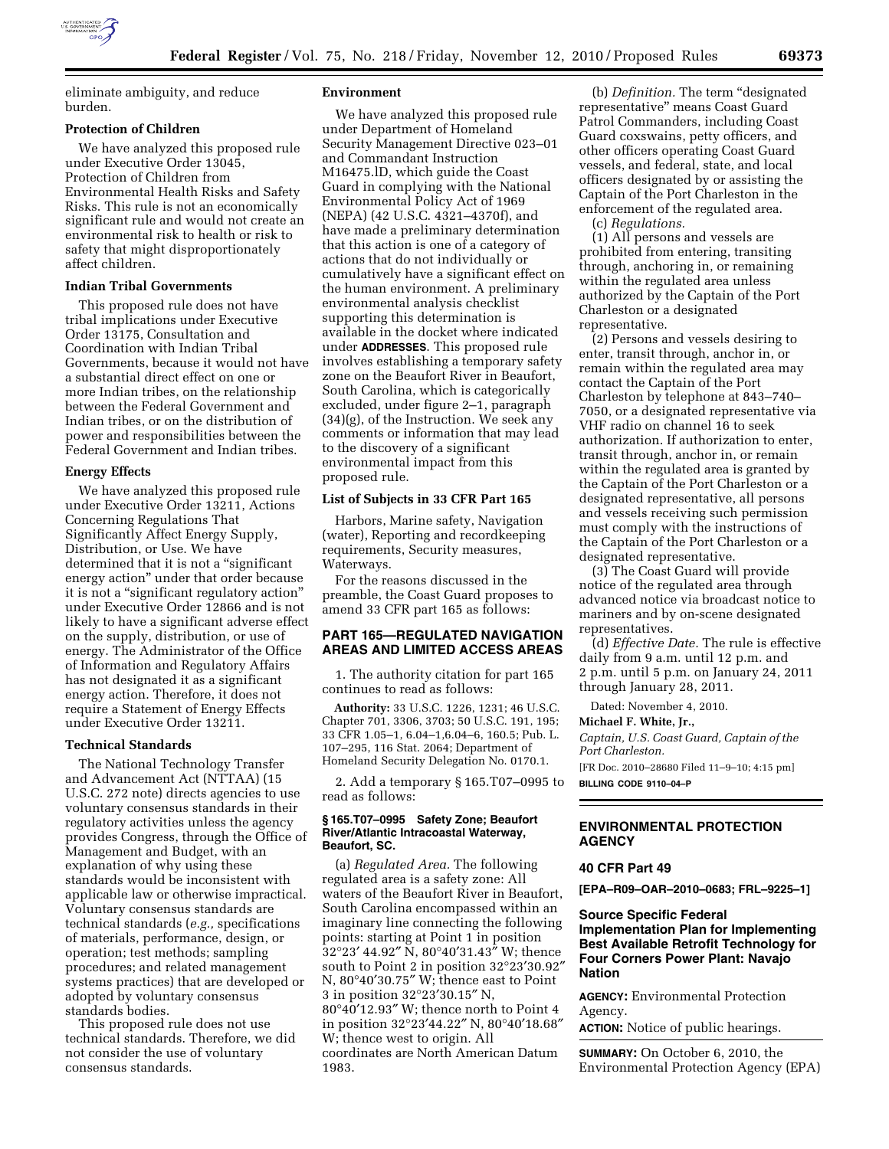

eliminate ambiguity, and reduce burden.

# **Protection of Children**

We have analyzed this proposed rule under Executive Order 13045, Protection of Children from Environmental Health Risks and Safety Risks. This rule is not an economically significant rule and would not create an environmental risk to health or risk to safety that might disproportionately affect children.

#### **Indian Tribal Governments**

This proposed rule does not have tribal implications under Executive Order 13175, Consultation and Coordination with Indian Tribal Governments, because it would not have a substantial direct effect on one or more Indian tribes, on the relationship between the Federal Government and Indian tribes, or on the distribution of power and responsibilities between the Federal Government and Indian tribes.

#### **Energy Effects**

We have analyzed this proposed rule under Executive Order 13211, Actions Concerning Regulations That Significantly Affect Energy Supply, Distribution, or Use. We have determined that it is not a ''significant energy action'' under that order because it is not a ''significant regulatory action'' under Executive Order 12866 and is not likely to have a significant adverse effect on the supply, distribution, or use of energy. The Administrator of the Office of Information and Regulatory Affairs has not designated it as a significant energy action. Therefore, it does not require a Statement of Energy Effects under Executive Order 13211.

#### **Technical Standards**

The National Technology Transfer and Advancement Act (NTTAA) (15 U.S.C. 272 note) directs agencies to use voluntary consensus standards in their regulatory activities unless the agency provides Congress, through the Office of Management and Budget, with an explanation of why using these standards would be inconsistent with applicable law or otherwise impractical. Voluntary consensus standards are technical standards (*e.g.,* specifications of materials, performance, design, or operation; test methods; sampling procedures; and related management systems practices) that are developed or adopted by voluntary consensus standards bodies.

This proposed rule does not use technical standards. Therefore, we did not consider the use of voluntary consensus standards.

#### **Environment**

We have analyzed this proposed rule under Department of Homeland Security Management Directive 023–01 and Commandant Instruction M16475.lD, which guide the Coast Guard in complying with the National Environmental Policy Act of 1969 (NEPA) (42 U.S.C. 4321–4370f), and have made a preliminary determination that this action is one of a category of actions that do not individually or cumulatively have a significant effect on the human environment. A preliminary environmental analysis checklist supporting this determination is available in the docket where indicated under **ADDRESSES**. This proposed rule involves establishing a temporary safety zone on the Beaufort River in Beaufort, South Carolina, which is categorically excluded, under figure 2–1, paragraph (34)(g), of the Instruction. We seek any comments or information that may lead to the discovery of a significant environmental impact from this proposed rule.

## **List of Subjects in 33 CFR Part 165**

Harbors, Marine safety, Navigation (water), Reporting and recordkeeping requirements, Security measures, Waterways.

For the reasons discussed in the preamble, the Coast Guard proposes to amend 33 CFR part 165 as follows:

### **PART 165—REGULATED NAVIGATION AREAS AND LIMITED ACCESS AREAS**

1. The authority citation for part 165 continues to read as follows:

**Authority:** 33 U.S.C. 1226, 1231; 46 U.S.C. Chapter 701, 3306, 3703; 50 U.S.C. 191, 195; 33 CFR 1.05–1, 6.04–1,6.04–6, 160.5; Pub. L. 107–295, 116 Stat. 2064; Department of Homeland Security Delegation No. 0170.1.

2. Add a temporary § 165.T07–0995 to read as follows:

#### **§ 165.T07–0995 Safety Zone; Beaufort River/Atlantic Intracoastal Waterway, Beaufort, SC.**

(a) *Regulated Area.* The following regulated area is a safety zone: All waters of the Beaufort River in Beaufort, South Carolina encompassed within an imaginary line connecting the following points: starting at Point 1 in position 32°23′ 44.92″ N, 80°40′31.43″ W; thence south to Point 2 in position 32°23′30.92″ N, 80°40′30.75″ W; thence east to Point 3 in position 32°23′30.15″ N, 80°40′12.93″ W; thence north to Point 4 in position 32°23′44.22″ N, 80°40′18.68″ W; thence west to origin. All coordinates are North American Datum 1983.

(b) *Definition.* The term ''designated representative'' means Coast Guard Patrol Commanders, including Coast Guard coxswains, petty officers, and other officers operating Coast Guard vessels, and federal, state, and local officers designated by or assisting the Captain of the Port Charleston in the enforcement of the regulated area.

(c) *Regulations.* 

(1) All persons and vessels are prohibited from entering, transiting through, anchoring in, or remaining within the regulated area unless authorized by the Captain of the Port Charleston or a designated representative.

(2) Persons and vessels desiring to enter, transit through, anchor in, or remain within the regulated area may contact the Captain of the Port Charleston by telephone at 843–740– 7050, or a designated representative via VHF radio on channel 16 to seek authorization. If authorization to enter, transit through, anchor in, or remain within the regulated area is granted by the Captain of the Port Charleston or a designated representative, all persons and vessels receiving such permission must comply with the instructions of the Captain of the Port Charleston or a designated representative.

(3) The Coast Guard will provide notice of the regulated area through advanced notice via broadcast notice to mariners and by on-scene designated representatives.

(d) *Effective Date.* The rule is effective daily from 9 a.m. until 12 p.m. and 2 p.m. until 5 p.m. on January 24, 2011 through January 28, 2011.

Dated: November 4, 2010.

## **Michael F. White, Jr.,**

*Captain, U.S. Coast Guard, Captain of the Port Charleston.* 

[FR Doc. 2010–28680 Filed 11–9–10; 4:15 pm] **BILLING CODE 9110–04–P** 

# **ENVIRONMENTAL PROTECTION AGENCY**

## **40 CFR Part 49**

**[EPA–R09–OAR–2010–0683; FRL–9225–1]** 

# **Source Specific Federal Implementation Plan for Implementing Best Available Retrofit Technology for Four Corners Power Plant: Navajo Nation**

**AGENCY:** Environmental Protection Agency.

**ACTION:** Notice of public hearings.

**SUMMARY:** On October 6, 2010, the Environmental Protection Agency (EPA)